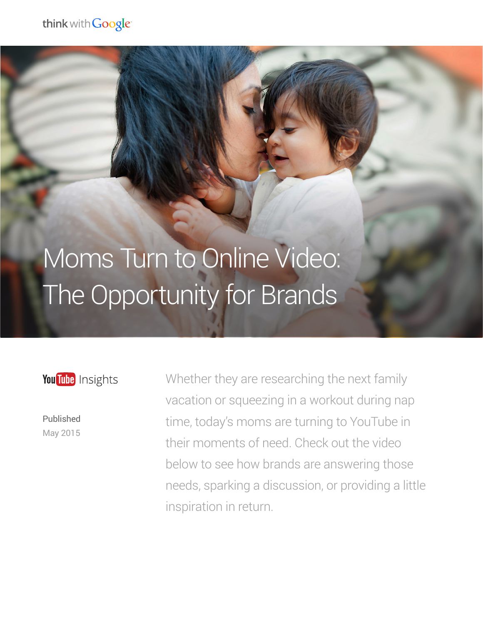## Moms Turn to Online Video: The Opportunity for Brands

You Tube Insights

Published May 2015

Whether they are researching the next family vacation or squeezing in a workout during nap time, today's moms are turning to YouTube in their moments of need. Check out the video below to see how brands are answering those needs, sparking a discussion, or providing a little inspiration in return.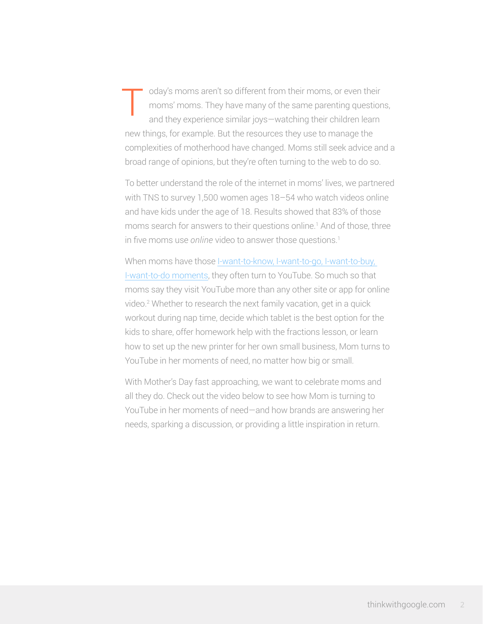oday's moms aren't so different from their moms, or even their moms' moms. They have many of the same parenting questions, and they experience similar joys—watching their children learn new things, for example. But the resources they use to manage the complexities of motherhood have changed. Moms still seek advice and a broad range of opinions, but they're often turning to the web to do so. T

To better understand the role of the internet in moms' lives, we partnered with TNS to survey 1,500 women ages 18–54 who watch videos online and have kids under the age of 18. Results showed that 83% of those moms search for answers to their questions online.<sup>1</sup> And of those, three in five moms use *online* video to answer those questions.<sup>1</sup>

When moms have those [I-want-to-know, I-want-to-go, I-want-to-buy,](https://www.thinkwithgoogle.com/features/how-micromoments-are-changing-rules.html)  [I-want-to-do moments,](https://www.thinkwithgoogle.com/features/how-micromoments-are-changing-rules.html) they often turn to YouTube. So much so that moms say they visit YouTube more than any other site or app for online video.2 Whether to research the next family vacation, get in a quick workout during nap time, decide which tablet is the best option for the kids to share, offer homework help with the fractions lesson, or learn how to set up the new printer for her own small business, Mom turns to YouTube in her moments of need, no matter how big or small.

With Mother's Day fast approaching, we want to celebrate moms and all they do. Check out the video below to see how Mom is turning to YouTube in her moments of need—and how brands are answering her needs, sparking a discussion, or providing a little inspiration in return.